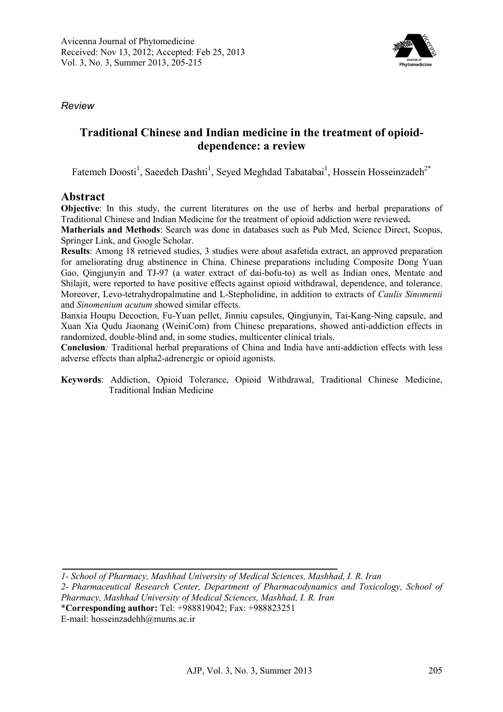

*Review* 

# **Traditional Chinese and Indian medicine in the treatment of opioiddependence: a review**

Fatemeh Doosti<sup>1</sup>, Saeedeh Dashti<sup>1</sup>, Seyed Meghdad Tabatabai<sup>1</sup>, Hossein Hosseinzadeh<sup>2\*</sup>

### **Abstract**

**Objective**: In this study, the current literatures on the use of herbs and herbal preparations of Traditional Chinese and Indian Medicine for the treatment of opioid addiction were reviewed**.** 

**Matherials and Methods**: Search was done in databases such as Pub Med, Science Direct, Scopus, Springer Link, and Google Scholar.

**Results**: Among 18 retrieved studies, 3 studies were about asafetida extract, an approved preparation for ameliorating drug abstinence in China. Chinese preparations including Composite Dong Yuan Gao, Qingjunyin and TJ-97 (a water extract of dai-bofu-to) as well as Indian ones, Mentate and Shilajit, were reported to have positive effects against opioid withdrawal, dependence, and tolerance. Moreover, Levo-tetrahydropalmatine and L-Stepholidine, in addition to extracts of *Caulis Sinomenii*  and *Sinomenium acutum* showed similar effects.

Banxia Houpu Decoction, Fu-Yuan pellet, Jinniu capsules, Qingjunyin, Tai-Kang-Ning capsule, and Xuan Xia Qudu Jiaonang (WeiniCom) from Chinese preparations, showed anti-addiction effects in randomized, double-blind and, in some studies, multicenter clinical trials.

**Conclusion***:* Traditional herbal preparations of China and India have anti-addiction effects with less adverse effects than alpha2-adrenergic or opioid agonists.

**Keywords**: Addiction, Opioid Tolerance, Opioid Withdrawal, Traditional Chinese Medicine, Traditional Indian Medicine

*<sup>1-</sup> School of Pharmacy, Mashhad University of Medical Sciences, Mashhad, I. R. Iran* 

*<sup>2-</sup> Pharmaceutical Research Center, Department of Pharmacodynamics and Toxicology, School of Pharmacy, Mashhad University of Medical Sciences, Mashhad, I. R. Iran* 

<sup>\*</sup>**Corresponding author:** Tel: +988819042; Fax: +988823251

E-mail: hosseinzadehh@mums.ac.ir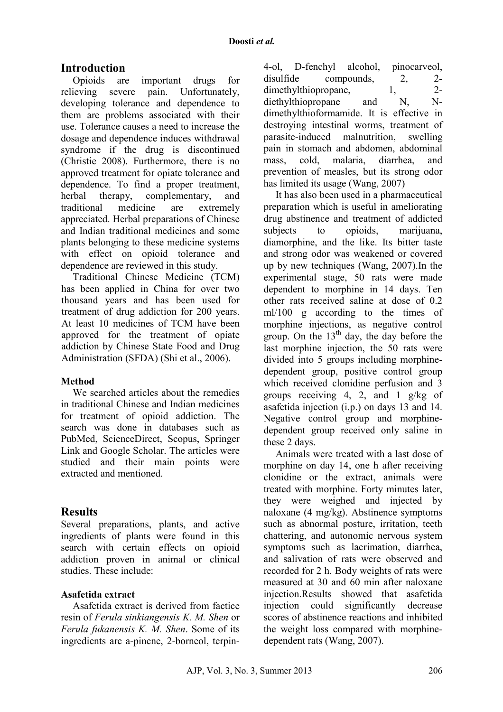## **Introduction**

Opioids are important drugs for relieving severe pain. Unfortunately, developing tolerance and dependence to them are problems associated with their use. Tolerance causes a need to increase the dosage and dependence induces withdrawal syndrome if the drug is discontinued (Christie 2008). Furthermore, there is no approved treatment for opiate tolerance and dependence. To find a proper treatment, herbal therapy, complementary, and traditional medicine are extremely appreciated. Herbal preparations of Chinese and Indian traditional medicines and some plants belonging to these medicine systems with effect on opioid tolerance and dependence are reviewed in this study.

Traditional Chinese Medicine (TCM) has been applied in China for over two thousand years and has been used for treatment of drug addiction for 200 years. At least 10 medicines of TCM have been approved for the treatment of opiate addiction by Chinese State Food and Drug Administration (SFDA) (Shi et al., 2006).

### **Method**

We searched articles about the remedies in traditional Chinese and Indian medicines for treatment of opioid addiction. The search was done in databases such as PubMed, ScienceDirect, Scopus, Springer Link and Google Scholar. The articles were studied and their main points were extracted and mentioned.

## **Results**

Several preparations, plants, and active ingredients of plants were found in this search with certain effects on opioid addiction proven in animal or clinical studies. These include:

#### **Asafetida extract**

Asafetida extract is derived from factice resin of *Ferula sinkiangensis K. M. Shen* or *Ferula fukanensis K. M. Shen*. Some of its ingredients are a-pinene, 2-borneol, terpin4-ol, D-fenchyl alcohol, pinocarveol, disulfide compounds,  $2, \frac{2}{2}$ <br>dimethylthionropane 1  $2$ dimethylthiopropane, 1, diethylthiopropane and N, Ndimethylthioformamide. It is effective in destroying intestinal worms, treatment of parasite-induced malnutrition, swelling pain in stomach and abdomen, abdominal mass, cold, malaria, diarrhea, and prevention of measles, but its strong odor has limited its usage (Wang, 2007)

It has also been used in a pharmaceutical preparation which is useful in ameliorating drug abstinence and treatment of addicted subjects to opioids, marijuana, diamorphine, and the like. Its bitter taste and strong odor was weakened or covered up by new techniques (Wang, 2007).In the experimental stage, 50 rats were made dependent to morphine in 14 days. Ten other rats received saline at dose of 0.2 ml/100 g according to the times of morphine injections, as negative control group. On the  $13<sup>th</sup>$  day, the day before the last morphine injection, the 50 rats were divided into 5 groups including morphinedependent group, positive control group which received clonidine perfusion and 3 groups receiving 4, 2, and 1 g/kg of asafetida injection (i.p.) on days 13 and 14. Negative control group and morphinedependent group received only saline in these 2 days.

Animals were treated with a last dose of morphine on day 14, one h after receiving clonidine or the extract, animals were treated with morphine. Forty minutes later, they were weighed and injected by naloxane (4 mg/kg). Abstinence symptoms such as abnormal posture, irritation, teeth chattering, and autonomic nervous system symptoms such as lacrimation, diarrhea, and salivation of rats were observed and recorded for 2 h. Body weights of rats were measured at 30 and 60 min after naloxane injection.Results showed that asafetida injection could significantly decrease scores of abstinence reactions and inhibited the weight loss compared with morphinedependent rats (Wang, 2007).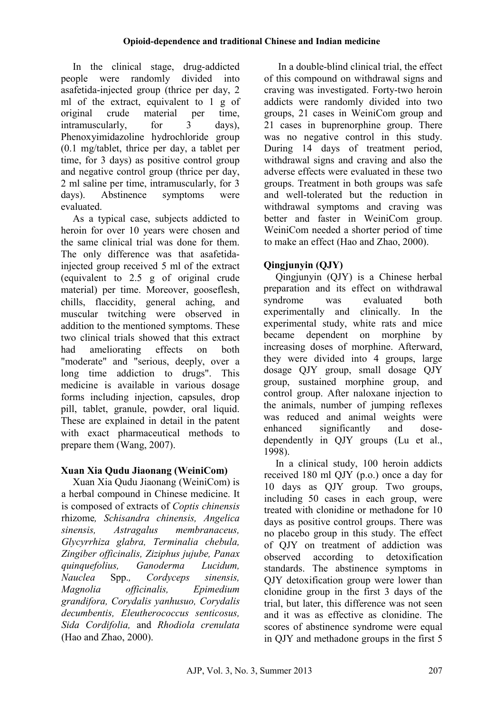In the clinical stage, drug-addicted people were randomly divided into asafetida-injected group (thrice per day, 2 ml of the extract, equivalent to 1 g of original crude material per time, intramuscularly, for 3 days), Phenoxyimidazoline hydrochloride group (0.1 mg/tablet, thrice per day, a tablet per time, for 3 days) as positive control group and negative control group (thrice per day, 2 ml saline per time, intramuscularly, for 3 days). Abstinence symptoms were evaluated.

As a typical case, subjects addicted to heroin for over 10 years were chosen and the same clinical trial was done for them. The only difference was that asafetidainjected group received 5 ml of the extract (equivalent to 2.5 g of original crude material) per time. Moreover, gooseflesh, chills, flaccidity, general aching, and muscular twitching were observed in addition to the mentioned symptoms. These two clinical trials showed that this extract had ameliorating effects on both "moderate" and "serious, deeply, over a long time addiction to drugs". This medicine is available in various dosage forms including injection, capsules, drop pill, tablet, granule, powder, oral liquid. These are explained in detail in the patent with exact pharmaceutical methods to prepare them (Wang, 2007).

# **Xuan Xia Qudu Jiaonang (WeiniCom)**

Xuan Xia Qudu Jiaonang (WeiniCom) is a herbal compound in Chinese medicine. It is composed of extracts of *Coptis chinensis* rhizome*, Schisandra chinensis, Angelica sinensis, Astragalus membranaceus, Glycyrrhiza glabra, Terminalia chebula, Zingiber officinalis, Ziziphus jujube, Panax quinquefolius, Ganoderma Lucidum, Nauclea* Spp.*, Cordyceps sinensis, Magnolia officinalis, Epimedium grandifora, Corydalis yanhusuo, Corydalis decumbentis, Eleutherococcus senticosus, Sida Cordifolia,* and *Rhodiola crenulata*  (Hao and Zhao, 2000).

In a double-blind clinical trial, the effect of this compound on withdrawal signs and craving was investigated. Forty-two heroin addicts were randomly divided into two groups, 21 cases in WeiniCom group and 21 cases in buprenorphine group. There was no negative control in this study. During 14 days of treatment period, withdrawal signs and craving and also the adverse effects were evaluated in these two groups. Treatment in both groups was safe and well-tolerated but the reduction in withdrawal symptoms and craving was better and faster in WeiniCom group. WeiniCom needed a shorter period of time to make an effect (Hao and Zhao, 2000).

# **Qingjunyin (QJY)**

Qingjunyin (QJY) is a Chinese herbal preparation and its effect on withdrawal syndrome was evaluated both experimentally and clinically. In the experimental study, white rats and mice became dependent on morphine by increasing doses of morphine. Afterward, they were divided into 4 groups, large dosage QJY group, small dosage QJY group, sustained morphine group, and control group. After naloxane injection to the animals, number of jumping reflexes was reduced and animal weights were enhanced significantly and dosedependently in QJY groups (Lu et al., 1998).

In a clinical study, 100 heroin addicts received 180 ml QJY (p.o.) once a day for 10 days as QJY group. Two groups, including 50 cases in each group, were treated with clonidine or methadone for 10 days as positive control groups. There was no placebo group in this study. The effect of QJY on treatment of addiction was observed according to detoxification standards. The abstinence symptoms in QJY detoxification group were lower than clonidine group in the first 3 days of the trial, but later, this difference was not seen and it was as effective as clonidine. The scores of abstinence syndrome were equal in QJY and methadone groups in the first 5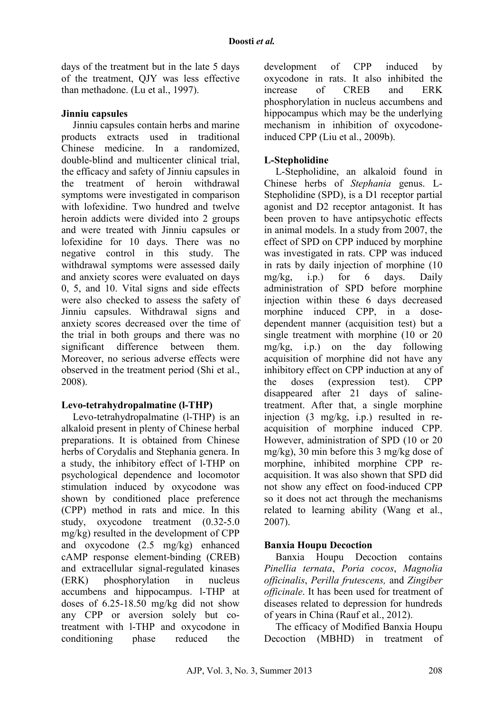days of the treatment but in the late 5 days of the treatment, QJY was less effective than methadone. (Lu et al., 1997).

#### **Jinniu capsules**

Jinniu capsules contain herbs and marine products extracts used in traditional Chinese medicine. In a randomized, double-blind and multicenter clinical trial, the efficacy and safety of Jinniu capsules in the treatment of heroin withdrawal symptoms were investigated in comparison with lofexidine. Two hundred and twelve heroin addicts were divided into 2 groups and were treated with Jinniu capsules or lofexidine for 10 days. There was no negative control in this study. The withdrawal symptoms were assessed daily and anxiety scores were evaluated on days 0, 5, and 10. Vital signs and side effects were also checked to assess the safety of Jinniu capsules. Withdrawal signs and anxiety scores decreased over the time of the trial in both groups and there was no significant difference between them. Moreover, no serious adverse effects were observed in the treatment period (Shi et al., 2008).

#### **Levo-tetrahydropalmatine (l-THP)**

Levo-tetrahydropalmatine (l-THP) is an alkaloid present in plenty of Chinese herbal preparations. It is obtained from Chinese herbs of Corydalis and Stephania genera. In a study, the inhibitory effect of l-THP on psychological dependence and locomotor stimulation induced by oxycodone was shown by conditioned place preference (CPP) method in rats and mice. In this study, oxycodone treatment (0.32-5.0 mg/kg) resulted in the development of CPP and oxycodone (2.5 mg/kg) enhanced cAMP response element-binding (CREB) and extracellular signal-regulated kinases (ERK) phosphorylation in nucleus accumbens and hippocampus. l-THP at doses of 6.25-18.50 mg/kg did not show any CPP or aversion solely but cotreatment with l-THP and oxycodone in conditioning phase reduced the

development of CPP induced by oxycodone in rats. It also inhibited the increase of CREB and ERK phosphorylation in nucleus accumbens and hippocampus which may be the underlying mechanism in inhibition of oxycodoneinduced CPP (Liu et al., 2009b).

### **L-Stepholidine**

L-Stepholidine, an alkaloid found in Chinese herbs of *Stephania* genus. L-Stepholidine (SPD), is a D1 receptor partial agonist and D2 receptor antagonist. It has been proven to have antipsychotic effects in animal models. In a study from 2007, the effect of SPD on CPP induced by morphine was investigated in rats. CPP was induced in rats by daily injection of morphine (10 mg/kg, i.p.) for 6 days. Daily administration of SPD before morphine injection within these 6 days decreased morphine induced CPP, in a dosedependent manner (acquisition test) but a single treatment with morphine (10 or 20 mg/kg, i.p.) on the day following acquisition of morphine did not have any inhibitory effect on CPP induction at any of the doses (expression test). CPP disappeared after 21 days of salinetreatment. After that, a single morphine injection (3 mg/kg, i.p.) resulted in reacquisition of morphine induced CPP. However, administration of SPD (10 or 20 mg/kg), 30 min before this 3 mg/kg dose of morphine, inhibited morphine CPP reacquisition. It was also shown that SPD did not show any effect on food-induced CPP so it does not act through the mechanisms related to learning ability (Wang et al., 2007).

### **Banxia Houpu Decoction**

Banxia Houpu Decoction contains *Pinellia ternata*, *Poria cocos*, *Magnolia officinalis*, *Perilla frutescens,* and *Zingiber officinale*. It has been used for treatment of diseases related to depression for hundreds of years in China (Rauf et al., 2012).

The efficacy of Modified Banxia Houpu Decoction (MBHD) in treatment of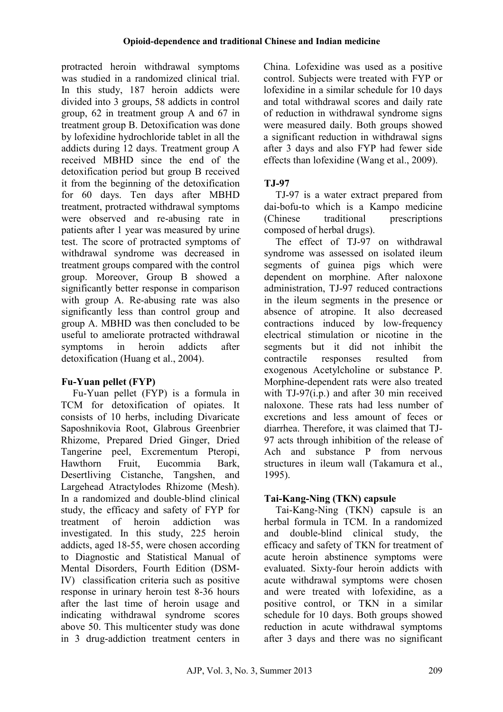protracted heroin withdrawal symptoms was studied in a randomized clinical trial. In this study, 187 heroin addicts were divided into 3 groups, 58 addicts in control group, 62 in treatment group A and 67 in treatment group B. Detoxification was done by lofexidine hydrochloride tablet in all the addicts during 12 days. Treatment group A received MBHD since the end of the detoxification period but group B received it from the beginning of the detoxification for 60 days. Ten days after MBHD treatment, protracted withdrawal symptoms were observed and re-abusing rate in patients after 1 year was measured by urine test. The score of protracted symptoms of withdrawal syndrome was decreased in treatment groups compared with the control group. Moreover, Group B showed a significantly better response in comparison with group A. Re-abusing rate was also significantly less than control group and group A. MBHD was then concluded to be useful to ameliorate protracted withdrawal symptoms in heroin addicts after detoxification (Huang et al., 2004).

## **Fu-Yuan pellet (FYP)**

Fu-Yuan pellet (FYP) is a formula in TCM for detoxification of opiates. It consists of 10 herbs, including Divaricate Saposhnikovia Root, Glabrous Greenbrier Rhizome, Prepared Dried Ginger, Dried Tangerine peel, Excrementum Pteropi, Hawthorn Fruit, Eucommia Bark, Desertliving Cistanche, Tangshen, and Largehead Atractylodes Rhizome (Mesh). In a randomized and double-blind clinical study, the efficacy and safety of FYP for treatment of heroin addiction was investigated. In this study, 225 heroin addicts, aged 18-55, were chosen according to Diagnostic and Statistical Manual of Mental Disorders, Fourth Edition (DSM-IV) classification criteria such as positive response in urinary heroin test 8-36 hours after the last time of heroin usage and indicating withdrawal syndrome scores above 50. This multicenter study was done in 3 drug-addiction treatment centers in China. Lofexidine was used as a positive control. Subjects were treated with FYP or lofexidine in a similar schedule for 10 days and total withdrawal scores and daily rate of reduction in withdrawal syndrome signs were measured daily. Both groups showed a significant reduction in withdrawal signs after 3 days and also FYP had fewer side effects than lofexidine (Wang et al., 2009).

## **TJ-97**

TJ-97 is a water extract prepared from dai-bofu-to which is a Kampo medicine (Chinese traditional prescriptions) composed of herbal drugs).

The effect of TJ-97 on withdrawal syndrome was assessed on isolated ileum segments of guinea pigs which were dependent on morphine. After naloxone administration, TJ-97 reduced contractions in the ileum segments in the presence or absence of atropine. It also decreased contractions induced by low-frequency electrical stimulation or nicotine in the segments but it did not inhibit the contractile responses resulted from exogenous Acetylcholine or substance P. Morphine-dependent rats were also treated with TJ-97(i.p.) and after 30 min received naloxone. These rats had less number of excretions and less amount of feces or diarrhea. Therefore, it was claimed that TJ-97 acts through inhibition of the release of Ach and substance P from nervous structures in ileum wall (Takamura et al., 1995).

## **Tai-Kang-Ning (TKN) capsule**

Tai-Kang-Ning (TKN) capsule is an herbal formula in TCM. In a randomized and double-blind clinical study, the efficacy and safety of TKN for treatment of acute heroin abstinence symptoms were evaluated. Sixty-four heroin addicts with acute withdrawal symptoms were chosen and were treated with lofexidine, as a positive control, or TKN in a similar schedule for 10 days. Both groups showed reduction in acute withdrawal symptoms after 3 days and there was no significant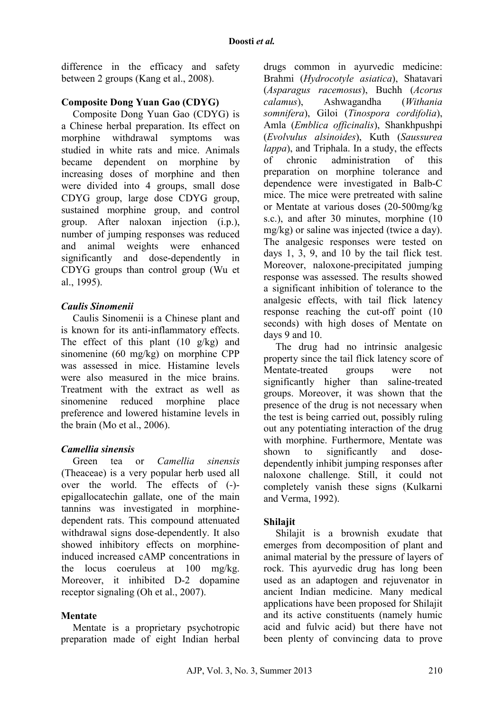difference in the efficacy and safety between 2 groups (Kang et al., 2008).

### **Composite Dong Yuan Gao (CDYG)**

Composite Dong Yuan Gao (CDYG) is a Chinese herbal preparation. Its effect on morphine withdrawal symptoms was studied in white rats and mice. Animals became dependent on morphine by increasing doses of morphine and then were divided into 4 groups, small dose CDYG group, large dose CDYG group, sustained morphine group, and control group. After naloxan injection (i.p.), number of jumping responses was reduced and animal weights were enhanced significantly and dose-dependently in CDYG groups than control group (Wu et al., 1995).

### *Caulis Sinomenii*

Caulis Sinomenii is a Chinese plant and is known for its anti-inflammatory effects. The effect of this plant  $(10 \text{ g/kg})$  and sinomenine (60 mg/kg) on morphine CPP was assessed in mice. Histamine levels were also measured in the mice brains. Treatment with the extract as well as sinomenine reduced morphine place preference and lowered histamine levels in the brain (Mo et al., 2006).

### *Camellia sinensis*

Green tea or *Camellia sinensis* (Theaceae) is a very popular herb used all over the world. The effects of (-) epigallocatechin gallate, one of the main tannins was investigated in morphinedependent rats. This compound attenuated withdrawal signs dose-dependently. It also showed inhibitory effects on morphineinduced increased cAMP concentrations in the locus coeruleus at 100 mg/kg. Moreover, it inhibited D-2 dopamine receptor signaling (Oh et al., 2007).

### **Mentate**

Mentate is a proprietary psychotropic preparation made of eight Indian herbal drugs common in ayurvedic medicine: Brahmi (*Hydrocotyle asiatica*), Shatavari (*Asparagus racemosus*), Buchh (*Acorus calamus*), Ashwagandha (*Withania somnifera*), Giloi (*Tinospora cordifolia*), Amla (*Emblica officinalis*), Shankhpushpi (*Evolvulus alsinoides*), Kuth (*Saussurea lappa*), and Triphala. In a study, the effects of chronic administration of this preparation on morphine tolerance and dependence were investigated in Balb-C mice. The mice were pretreated with saline or Mentate at various doses (20-500mg/kg s.c.), and after 30 minutes, morphine (10 mg/kg) or saline was injected (twice a day). The analgesic responses were tested on days 1, 3, 9, and 10 by the tail flick test. Moreover, naloxone-precipitated jumping response was assessed. The results showed a significant inhibition of tolerance to the analgesic effects, with tail flick latency response reaching the cut-off point (10 seconds) with high doses of Mentate on days 9 and 10.

The drug had no intrinsic analgesic property since the tail flick latency score of Mentate-treated groups were not significantly higher than saline-treated groups. Moreover, it was shown that the presence of the drug is not necessary when the test is being carried out, possibly ruling out any potentiating interaction of the drug with morphine. Furthermore, Mentate was shown to significantly and dosedependently inhibit jumping responses after naloxone challenge. Still, it could not completely vanish these signs (Kulkarni and Verma, 1992).

### **Shilajit**

Shilajit is a brownish exudate that emerges from decomposition of plant and animal material by the pressure of layers of rock. This ayurvedic drug has long been used as an adaptogen and rejuvenator in ancient Indian medicine. Many medical applications have been proposed for Shilajit and its active constituents (namely humic acid and fulvic acid) but there have not been plenty of convincing data to prove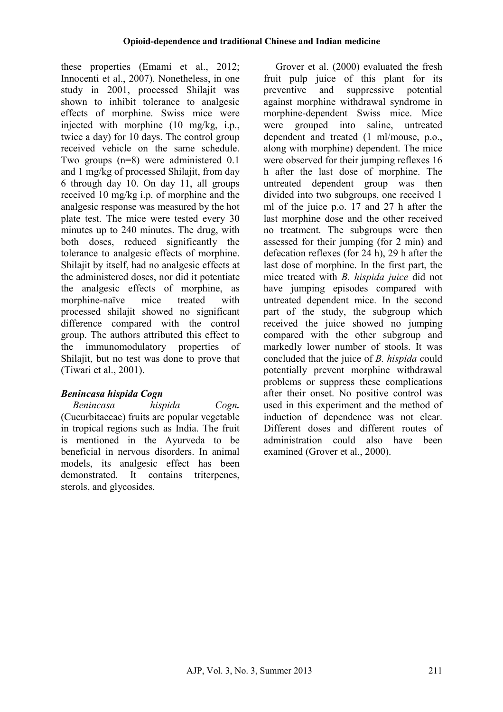these properties (Emami et al., 2012; Innocenti et al., 2007). Nonetheless, in one study in 2001, processed Shilajit was shown to inhibit tolerance to analgesic effects of morphine. Swiss mice were injected with morphine (10 mg/kg, i.p., twice a day) for 10 days. The control group received vehicle on the same schedule. Two groups (n=8) were administered 0.1 and 1 mg/kg of processed Shilajit, from day 6 through day 10. On day 11, all groups received 10 mg/kg i.p. of morphine and the analgesic response was measured by the hot plate test. The mice were tested every 30 minutes up to 240 minutes. The drug, with both doses, reduced significantly the tolerance to analgesic effects of morphine. Shilajit by itself, had no analgesic effects at the administered doses, nor did it potentiate the analgesic effects of morphine, as morphine-naïve mice treated with processed shilajit showed no significant difference compared with the control group. The authors attributed this effect to the immunomodulatory properties of Shilajit, but no test was done to prove that (Tiwari et al., 2001).

## *Benincasa hispida Cogn*

*Benincasa hispida Cogn.* (Cucurbitaceae) fruits are popular vegetable in tropical regions such as India. The fruit is mentioned in the Ayurveda to be beneficial in nervous disorders. In animal models, its analgesic effect has been demonstrated. It contains triterpenes, sterols, and glycosides.

Grover et al. (2000) evaluated the fresh fruit pulp juice of this plant for its preventive and suppressive potential against morphine withdrawal syndrome in morphine-dependent Swiss mice. Mice were grouped into saline, untreated dependent and treated (1 ml/mouse, p.o., along with morphine) dependent. The mice were observed for their jumping reflexes 16 h after the last dose of morphine. The untreated dependent group was then divided into two subgroups, one received 1 ml of the juice p.o. 17 and 27 h after the last morphine dose and the other received no treatment. The subgroups were then assessed for their jumping (for 2 min) and defecation reflexes (for 24 h), 29 h after the last dose of morphine. In the first part, the mice treated with *B. hispida juice* did not have jumping episodes compared with untreated dependent mice. In the second part of the study, the subgroup which received the juice showed no jumping compared with the other subgroup and markedly lower number of stools. It was concluded that the juice of *B. hispida* could potentially prevent morphine withdrawal problems or suppress these complications after their onset. No positive control was used in this experiment and the method of induction of dependence was not clear. Different doses and different routes of administration could also have been examined (Grover et al., 2000).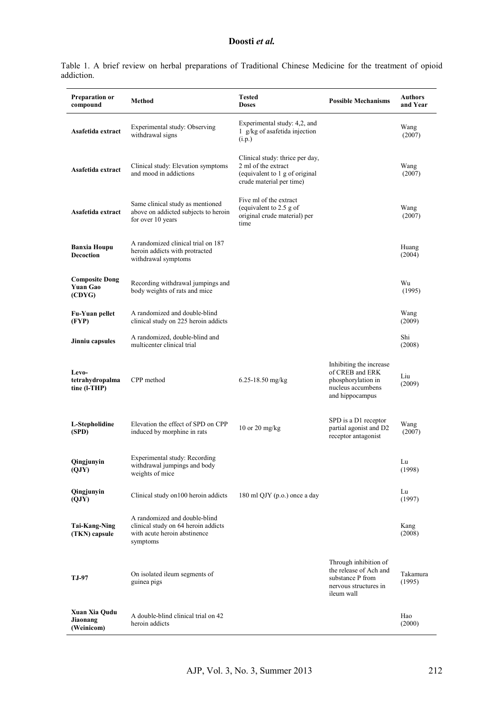Table 1. A brief review on herbal preparations of Traditional Chinese Medicine for the treatment of opioid addiction.

| Preparation or<br>compound                         | Method                                                                                                           | <b>Tested</b><br><b>Doses</b>                                                                                        | <b>Possible Mechanisms</b>                                                                                 | <b>Authors</b><br>and Year |
|----------------------------------------------------|------------------------------------------------------------------------------------------------------------------|----------------------------------------------------------------------------------------------------------------------|------------------------------------------------------------------------------------------------------------|----------------------------|
| Asafetida extract                                  | Experimental study: Observing<br>withdrawal signs                                                                | Experimental study: 4,2, and<br>1 g/kg of asafetida injection<br>(i.p.)                                              |                                                                                                            | Wang<br>(2007)             |
| Asafetida extract                                  | Clinical study: Elevation symptoms<br>and mood in addictions                                                     | Clinical study: thrice per day,<br>2 ml of the extract<br>(equivalent to 1 g of original<br>crude material per time) |                                                                                                            | Wang<br>(2007)             |
| Asafetida extract                                  | Same clinical study as mentioned<br>above on addicted subjects to heroin<br>for over 10 years                    | Five ml of the extract<br>(equivalent to 2.5 g of<br>original crude material) per<br>time                            |                                                                                                            | Wang<br>(2007)             |
| <b>Banxia Houpu</b><br><b>Decoction</b>            | A randomized clinical trial on 187<br>heroin addicts with protracted<br>withdrawal symptoms                      |                                                                                                                      |                                                                                                            | Huang<br>(2004)            |
| <b>Composite Dong</b><br><b>Yuan Gao</b><br>(CDYG) | Recording withdrawal jumpings and<br>body weights of rats and mice                                               |                                                                                                                      |                                                                                                            | Wu<br>(1995)               |
| Fu-Yuan pellet<br>(FYP)                            | A randomized and double-blind<br>clinical study on 225 heroin addicts                                            |                                                                                                                      |                                                                                                            | Wang<br>(2009)             |
| Jinniu capsules                                    | A randomized, double-blind and<br>multicenter clinical trial                                                     |                                                                                                                      |                                                                                                            | Shi<br>(2008)              |
| Levo-<br>tetrahydropalma<br>tine (I-THP)           | CPP method                                                                                                       | 6.25-18.50 mg/kg                                                                                                     | Inhibiting the increase<br>of CREB and ERK<br>phosphorylation in<br>nucleus accumbens<br>and hippocampus   | Liu<br>(2009)              |
| L-Stepholidine<br>(SPD)                            | Elevation the effect of SPD on CPP<br>induced by morphine in rats                                                | 10 or 20 mg/kg                                                                                                       | SPD is a D1 receptor<br>partial agonist and D2<br>receptor antagonist                                      | Wang<br>(2007)             |
| Qingjunyin<br>(QJY)                                | Experimental study: Recording<br>withdrawal jumpings and body<br>weights of mice                                 |                                                                                                                      |                                                                                                            | Lu<br>(1998)               |
| Qingjunyin<br>(QJY)                                | Clinical study on 100 heroin addicts                                                                             | 180 ml QJY (p.o.) once a day                                                                                         |                                                                                                            | Lu<br>(1997)               |
| <b>Tai-Kang-Ning</b><br>(TKN) capsule              | A randomized and double-blind<br>clinical study on 64 heroin addicts<br>with acute heroin abstinence<br>symptoms |                                                                                                                      |                                                                                                            | Kang<br>(2008)             |
| <b>TJ-97</b>                                       | On isolated ileum segments of<br>guinea pigs                                                                     |                                                                                                                      | Through inhibition of<br>the release of Ach and<br>substance P from<br>nervous structures in<br>ileum wall | Takamura<br>(1995)         |
| Xuan Xia Qudu<br>Jiaonang<br>(Weinicom)            | A double-blind clinical trial on 42<br>heroin addicts                                                            |                                                                                                                      |                                                                                                            | Hao<br>(2000)              |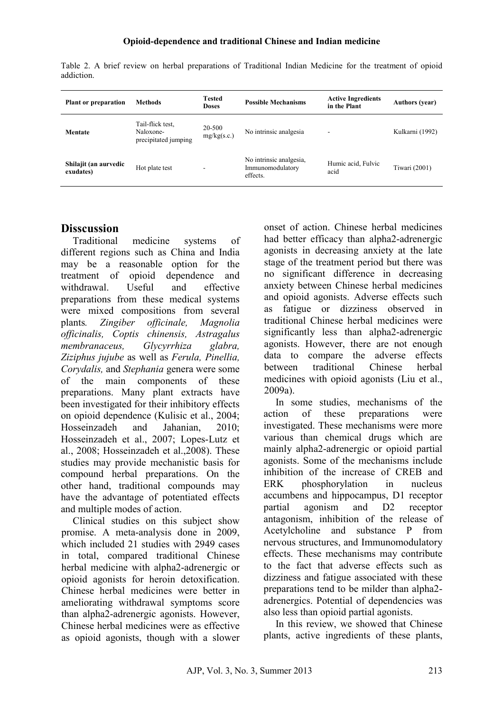| <b>Plant or preparation</b>        | <b>Methods</b>                                        | <b>Tested</b><br><b>Doses</b> | <b>Possible Mechanisms</b>                              | <b>Active Ingredients</b><br>in the Plant | <b>Authors</b> (year) |
|------------------------------------|-------------------------------------------------------|-------------------------------|---------------------------------------------------------|-------------------------------------------|-----------------------|
| Mentate                            | Tail-flick test.<br>Naloxone-<br>precipitated jumping | 20-500<br>mg/kg(s.c.)         | No intrinsic analgesia                                  | ۰                                         | Kulkarni (1992)       |
| Shilajit (an aurvedic<br>exudates) | Hot plate test                                        |                               | No intrinsic analgesia,<br>Immunomodulatory<br>effects. | Humic acid, Fulvic<br>acid                | Tiwari (2001)         |

Table 2. A brief review on herbal preparations of Traditional Indian Medicine for the treatment of opioid addiction.

# **Disscussion**

Traditional medicine systems of different regions such as China and India may be a reasonable option for the treatment of opioid dependence and withdrawal Useful and effective preparations from these medical systems were mixed compositions from several plants*. Zingiber officinale, Magnolia officinalis, Coptis chinensis, Astragalus membranaceus, Glycyrrhiza glabra, Ziziphus jujube* as well as *Ferula, Pinellia, Corydalis,* and *Stephania* genera were some of the main components of these preparations. Many plant extracts have been investigated for their inhibitory effects on opioid dependence (Kulisic et al., 2004; Hosseinzadeh and Jahanian, 2010; Hosseinzadeh et al., 2007; Lopes-Lutz et al., 2008; Hosseinzadeh et al.,2008). These studies may provide mechanistic basis for compound herbal preparations. On the other hand, traditional compounds may have the advantage of potentiated effects and multiple modes of action.

Clinical studies on this subject show promise. A meta-analysis done in 2009, which included 21 studies with 2949 cases in total, compared traditional Chinese herbal medicine with alpha2-adrenergic or opioid agonists for heroin detoxification. Chinese herbal medicines were better in ameliorating withdrawal symptoms score than alpha2-adrenergic agonists. However, Chinese herbal medicines were as effective as opioid agonists, though with a slower onset of action. Chinese herbal medicines had better efficacy than alpha2-adrenergic agonists in decreasing anxiety at the late stage of the treatment period but there was no significant difference in decreasing anxiety between Chinese herbal medicines and opioid agonists. Adverse effects such as fatigue or dizziness observed in traditional Chinese herbal medicines were significantly less than alpha2-adrenergic agonists. However, there are not enough data to compare the adverse effects between traditional Chinese herbal medicines with opioid agonists (Liu et al., 2009a).

In some studies, mechanisms of the action of these preparations were investigated. These mechanisms were more various than chemical drugs which are mainly alpha2-adrenergic or opioid partial agonists. Some of the mechanisms include inhibition of the increase of CREB and ERK phosphorylation in nucleus accumbens and hippocampus, D1 receptor partial agonism and D2 receptor antagonism, inhibition of the release of Acetylcholine and substance P from nervous structures, and Immunomodulatory effects. These mechanisms may contribute to the fact that adverse effects such as dizziness and fatigue associated with these preparations tend to be milder than alpha2 adrenergics. Potential of dependencies was also less than opioid partial agonists.

In this review, we showed that Chinese plants, active ingredients of these plants,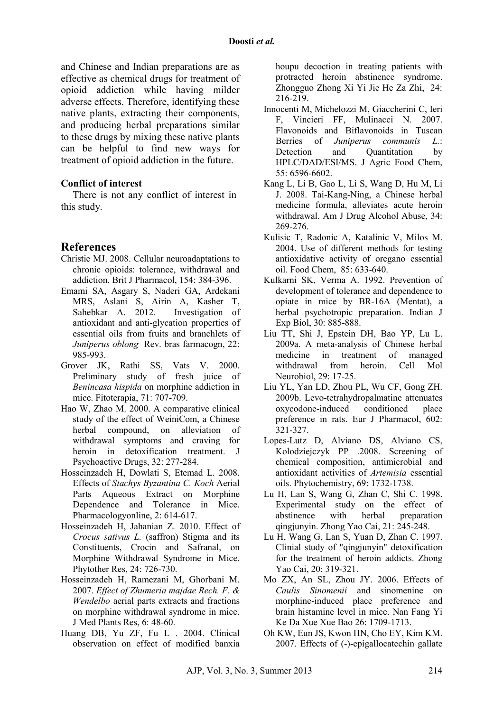and Chinese and Indian preparations are as effective as chemical drugs for treatment of opioid addiction while having milder adverse effects. Therefore, identifying these native plants, extracting their components, and producing herbal preparations similar to these drugs by mixing these native plants can be helpful to find new ways for treatment of opioid addiction in the future.

#### **Conflict of interest**

There is not any conflict of interest in this study.

### **References**

- Christie MJ. 2008. Cellular neuroadaptations to chronic opioids: tolerance, withdrawal and addiction. Brit J Pharmacol, 154: 384-396.
- Emami SA, Asgary S, Naderi GA, Ardekani MRS, Aslani S, Airin A, Kasher T, Sahebkar A. 2012. Investigation of antioxidant and anti-glycation properties of essential oils from fruits and branchlets of *Juniperus oblong* Rev. bras farmacogn, 22: 985-993.
- Grover JK, Rathi SS, Vats V. 2000. Preliminary study of fresh juice of *Benincasa hispida* on morphine addiction in mice. Fitoterapia, 71: 707-709.
- Hao W, Zhao M. 2000. A comparative clinical study of the effect of WeiniCom, a Chinese herbal compound, on alleviation of withdrawal symptoms and craving for heroin in detoxification treatment. J Psychoactive Drugs, 32: 277-284.
- Hosseinzadeh H, Dowlati S, Etemad L. 2008. Effects of *Stachys Byzantina C. Koch* Aerial Parts Aqueous Extract on Morphine Dependence and Tolerance in Mice. Pharmacologyonline, 2: 614-617.
- Hosseinzadeh H, Jahanian Z. 2010. Effect of *Crocus sativus L.* (saffron) Stigma and its Constituents, Crocin and Safranal, on Morphine Withdrawal Syndrome in Mice. Phytother Res, 24: 726-730.
- Hosseinzadeh H, Ramezani M, Ghorbani M. 2007. *Effect of Zhumeria majdae Rech. F. & Wendelbo* aerial parts extracts and fractions on morphine withdrawal syndrome in mice. J Med Plants Res, 6: 48-60.
- Huang DB, Yu ZF, Fu L . 2004. Clinical observation on effect of modified banxia

houpu decoction in treating patients with protracted heroin abstinence syndrome. Zhongguo Zhong Xi Yi Jie He Za Zhi, 24: 216-219.

- Innocenti M, Michelozzi M, Giaccherini C, Ieri F, Vincieri FF, Mulinacci N. 2007. Flavonoids and Biflavonoids in Tuscan Berries of *Juniperus communis L.*: Detection and Quantitation by HPLC/DAD/ESI/MS. J Agric Food Chem, 55: 6596-6602.
- Kang L, Li B, Gao L, Li S, Wang D, Hu M, Li J. 2008. Tai-Kang-Ning, a Chinese herbal medicine formula, alleviates acute heroin withdrawal. Am J Drug Alcohol Abuse, 34: 269-276.
- Kulisic T, Radonic A, Katalinic V, Milos M. 2004. Use of different methods for testing antioxidative activity of oregano essential oil. Food Chem, 85: 633-640.
- Kulkarni SK, Verma A. 1992. Prevention of development of tolerance and dependence to opiate in mice by BR-16A (Mentat), a herbal psychotropic preparation. Indian J Exp Biol, 30: 885-888.
- Liu TT, Shi J, Epstein DH, Bao YP, Lu L. 2009a. A meta-analysis of Chinese herbal medicine in treatment of managed withdrawal from heroin. Cell Mol Neurobiol, 29: 17-25.
- Liu YL, Yan LD, Zhou PL, Wu CF, Gong ZH. 2009b. Levo-tetrahydropalmatine attenuates oxycodone-induced conditioned place preference in rats. Eur J Pharmacol, 602: 321-327.
- Lopes-Lutz D, Alviano DS, Alviano CS, Kolodziejczyk PP .2008. Screening of chemical composition, antimicrobial and antioxidant activities of *Artemisia* essential oils. Phytochemistry, 69: 1732-1738.
- Lu H, Lan S, Wang G, Zhan C, Shi C. 1998. Experimental study on the effect of abstinence with herbal preparation qingjunyin. Zhong Yao Cai, 21: 245-248.
- Lu H, Wang G, Lan S, Yuan D, Zhan C. 1997. Clinial study of "qingjunyin" detoxification for the treatment of heroin addicts. Zhong Yao Cai, 20: 319-321.
- Mo ZX, An SL, Zhou JY. 2006. Effects of *Caulis Sinomenii* and sinomenine on morphine-induced place preference and brain histamine level in mice. Nan Fang Yi Ke Da Xue Xue Bao 26: 1709-1713.
- Oh KW, Eun JS, Kwon HN, Cho EY, Kim KM. 2007. Effects of (-)-epigallocatechin gallate